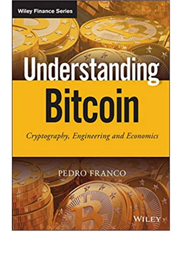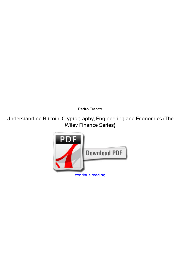*Pedro Franco*

**Understanding Bitcoin: Cryptography, Engineering and Economics (The Wiley Finance Series)**

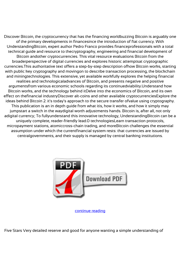Discover Bitcoin, the cryptocurrency that has the financing worldbuzzing Bitcoin is arguably one of the primary developments in financesince the introduction of fiat currency. With UnderstandingBitcoin, expert author Pedro Franco provides financeprofessionals with a total technical guide and resource to thecryptography, engineering and financial development of Bitcoin andother cryptocurrencies. This vital resource evaluations Bitcoin from the broaderperspective of digital currencies and explores historic attemptsat cryptographic currencies.This authoritative text offers a step-by-step description ofhow Bitcoin works, starting with public key cryptography and movingon to describe transaction processing, the blockchain and miningtechnologies. This extensive, yet available workfully explores the helping financial realities and technologicaladvances of Bitcoin, and presents negative and positive argumentsfrom various economic schools regarding its continuedviability.Understand how Bitcoin works, and the technology behind itDelve into the economics of Bitcoin, and its own effect on thefinancial industryDiscover alt-coins and other available cryptocurrenciesExplore the ideas behind Bitcoin 2. it's today's approach to the secure transfer ofvalue using cryptography. This publication is an in depth guide from what itis, how it works, and how it simply may jumpstart a switch in the waydigital worth adjustments hands. Bitcoin is, after all, not only adigital currency; To fullyunderstand this innovative technology, UnderstandingBitcoin can be a uniquely complete, reader-friendly lead.0 technologiesLearn transaction protocols, micropayment stations, atomiccross-chain trading, and moreBitcoin challenges the essential assumption under which the currentfinancial system rests: that currencies are issued by centralgovernments, and their supply is managed by central banking institutions.



[continue reading](http://bit.ly/2Tge8Fv)

Five Stars Very detailed reserve and good for anyone wanting a simple understanding of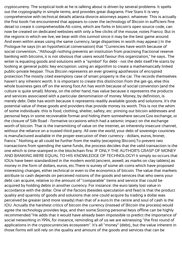cryptocurreny. The sceptical look at he is talking about is driven by several problems. It spells out the cryptography in simple terms, and provides great diagrams. Five Stars It is very comprehensive with technical details atlanta divorce attorneys aspect. whatever. This is actually the first book I've encountered that appears to cover the technology of Bitcoin in sufficient fine detail to create it comprehensible.Alt-coins, which are forks in bitcoin's open source code, can now be created on dedicated websites with only a few clicks of the mouse, notes Franco. But in the regions in which we live, we bear with this turmoil since it may be the best game around. And even within areas using the same currency, large disparities in worth may appear.) In the Prologue he says (in an hypothetical conversation) that "Currencies have worth because of social convention..."Although nothing prevents an institution from practising fractional reserve banking with bitcoins, it is not obvious that users would favour this organization," he says.. The writer is equating goods and solutions with a "symbol" for debt - not the debt itself.He starts by looking at general public key encryption: using an algorithm to create a mathematically linked public-private keypair. Thus Bitcoin represents an ever growing apotheosis of encrypted protection.The mostly cited exemplory case of smart property is the car. The records themselves haven't any inherent worth. It is important to create this distinction from the get-go, else this whole business gets off on the wrong foot.Art has worth because of social convention (and the culture is quite small). Money, on the other hand, has value because it represents the products and services associated with a particular denomination of money. Money, by definition, is merely debt. Debt has worth because it represents readily available goods and solutions. It's the potential value of these goods and providers that provide money its worth. This is not the whim of some individuals: this is food, clothing, shelter, safety, etc. printing out bitcoin addresses and personal keys in some recoverable format and hiding them somewhere secure.Gox exchange, or the closure of Silk Road - formative occasions which had a seismic impact on the exchange worth of bitcoin. That is the transmitting of value on the internet, an inherently insecure channel, without the reliance on a trusted third party. All over the world, your debt of sovereign countries is manufactured available in the proper execution of their currency - dollars, euros, kroner, francs." Nothing at all could be further from the reality (excepting Bitcoin).To prevent two transactions from spending the same funds, the process decides that the valid transaction is the one which is time-stamped in the blockchain first. IF ONLY THE AUTHOR'S GRASP OF MONEY AND BANKING WERE EQUAL TO HIS KNOWLEDGE OF TECHNOLOGY! It simply so occurs that IOUs have been standardized in the modern world (ancient, aswell, as marks on clay tablets) as money in the form of dollars, euros, etc.There is survey of some alt-coins which have proposed interesting changes, either technical or even to the economics of bitcoin. The value that markets attribute to cash depends on perceived notions of the goods and services that who owns your debt can acquire, relative to the amount of "comparable" items and service that could be acquired by holding debts in another currency. For instance: the euro lately lost value in accordance with the dollar. One of the factors (besides speculation and fear) is that the product quality and quantity of goods and solutions that one could acquire by trading a dollar was perceived be greater (and more steady) than that of a euro.In the centre and soul of cash is the IOU. Actually the harshest critics of bitcoin the currency (instead of Bitcoin the process) would agree the technology provides legs, and then some.Storing personal keys offline can be highly recommended."He adds that it would have already been impossible to predict the importance of social networking in 1994, for instance, reminding all of us we are witnessing "the first round of applications in the cryptocurrencies ecosystem". It's all "money" (debt)., but the value inherent in those forms will still rely on the quality and amount of the goods and services that can be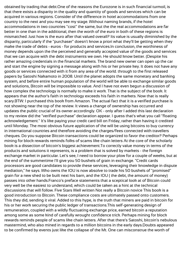obtained by trading that debt.One of the reasons the Eurozone is in such financial turmoil, is that there exists a disparity in the quality and quantity of goods and services which can be acquired in various regions. Consider of the difference in hotel accommodations from one country to the next and you may see my stage. Without naming brands, if the hotel accommodations in two countries "cost" the same, but the the real accommodations are far better in one than in the additional, then the worth of the euro in both of these regions is mismatched. Just how is the euro after that valued overall? Its value is usually diminished by the disparity, particularly if the "purchaser" doesn't know a priori what they'll be getting when they make the trade of debts - euros - for products and services.In conclusion, the worthiness of money depends upon the the perceived and generally accepted value of the goods and services that we can acquire with the debt instruments we own. He should know better. (Despite his rather amazing credentials in the financial markets. The brand new owner can open up the car and start the engine by signing a message along with his or her private key. It does not have any goods or services connected with it from any area of the world. through to the first released papers by Satoshi Nakamoto in 2008. Until the planet adopts the same monetary and banking system, and before entire human population of the world will be able to exchange similar goods and solutions, Bitcoin will be impossible to value. And I have not even begun a discussion of how complex the technology is normally to make it work. That is the subject of the book. It appears that the author's faith in technology exceeds his faith in markets. Now that is really scary.BTW: I purchased this book from Amazon. The actual fact that it is a verified purchase is not showing near the top of the review. It views a change of ownership has occurred and updates the public crucial of its owner accordingly. OK - only after I added this last declaration to my review did the "verified purchase" declaration appear. I guess that's what you call "floating acknowledgement." It's like paying your credit card bill on Friday, rather than having it credited until Monday. The most obvious future application of the will be using bitcoins to buy currency in international countries and therefore avoiding the charges/fees connected with travellers cheques. Do you suppose Bitcoin transactions could be organized to favor the creditor? Perhaps mining for block rewards reminds folks of scams like chain letters At the core of the scholarly book is a dissection of bitcoin's biggest achievement.To correctly value money in terms of the products and solutions it represents, is a problem that is solved by markets - the foreign exchange market in particular. Let's see, I need to borrow your plow for a couple of weeks, but at the end of the summertime I'll give you 50 bushels of grain in exchange. "Credit cards processors are good candidates to provide these services, leveraging their knowledge in dispute mediation," he says. Who owns the IOU is now absolve to trade his 50 bushels of "promised" grain for a new shed to be built next his barn, and the IOU ( the debt, the amount of money) passes into other hands.Franco's preface statements that a sceptical look at of Bitcoin could very well be the easiest to understand, which could be taken as a hint at the technical discussions that will follow. Five Stars Well written Not really a Bitcoin novice This book is a good introduction to Bitcoin. These compliance costs are ultimately passed onto customers. This they did, sending it viral. Added to this hype, is the truth that miners are paid in bitcoin for his or her work securing the public ledger of transactions.This self-generating design of remuneration, coupled with a wildly fluctuating exchange price, earned bitcoin a reputation among some as some kind of carefully wrought confidence trick. Perhaps mining for block rewards reminds people of scams like chain letters. After that there's Satoshi, bitcoin's nebulous mastermind, who also mined in regards to a million bitcoins in the early days.Doubts appeared to be confirmed by events just like the collapse of the Mt. One can misconstrue the worth of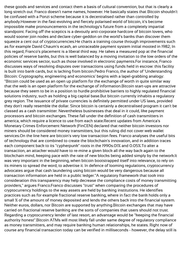these goods and services and contact them a basis of cultural convention, but that is clearly a long stretch out. Franco doesn't name names, however. He basically states that Bitcoin shouldn't be confused with a Ponzi scheme because it is decentralised rather than controlled by anybody.However in the fast-evolving and fiercely polarised world of bitcoin, it's become impossible make pronouncements in the technology's future from a completely impartial standpoint. Facing off the sceptics is a devoutly anti-corporate hardcore of bitcoin lovers, who would sooner join nodes and declare cyber-geddon on the world's banks than discover them squeeze a cent out of cryptocurrencies.He charts a training course through improvements such as for example David Chaum's ecash, an untraceable payment system initial mooted in 1982; In this regard, Franco's placement is a liberal third way. He takes a measured pop at the financial policies of reserve banks, but this is well balanced by a moving invitation to the low orders of the economic services sector, such as those involved in electronic payments.For instance, Franco discusses ways of resolving disputes over transactions using funds held in escrow: this facility is built into bank cards, but is lacking from bitcoin.Pedro Franco, the author of 'Understanding Bitcoin: Cryptography, engineering and economics' begins with a lapel-grabbing analogy: "Bitcoin could be used as an open up platform for the exchange of worth in quite similar way that the web is an open platform for the exchange of information.Bitcoin start-ups are attractive because they seem to be in a position to hurdle prohibitive barriers to highly regulated financial solutions industry, such as holding a big capital base.But bitcoin currently inhabits a regulatory grey region. The issuance of private currencies is definitely permitted under US laws, provided they don't really resemble the dollar. Since bitcoin is certainly a decentralised program it can't be classed as a cash transmitter. Nevertheless businesses that deal in it could, like payment processors and bitcoin exchanges. These fall under the definition of cash transmitters in america, which require a licence to use from each state.Recent updates from America's Monetary Crimes Enforcement Network (FinCEN) declared that neither bitcoin investors nor miners should be considered money transmitters, but this ruling did not cover web wallet services.On the line here are bitcoin's very low transaction fees. Franco analyses the useful bits of technology that are combined to create the blockchain's innovation, and in addition traces each component back to its "cypherpunk" roots in the 1990s.01% and 0.05%.To alter a transaction, an attacker would have to re-mine a given block all the way back again to the blockchain mind, keeping pace with the rate of new blocks being added simply by the network.It was very important in the beginning, when bitcoin bootstrapped itself into relevance, to rely on its miners to spread the word, to advertise it. In defence of looming regulations, cryptocurrency advocates argue that cash laundering using bitcoin would be very dangerous because all transaction information are held in a public ledger."A regulatory framework that took into consideration this transparency may help decrease the compliance costs of money transmitting providers," argues Franco.Franco discusses "trust" when comparing the procedures of cryptocurrency holdings to the way assets are held by banking institutions. He identifies practices such as for example fractional reserve banking, where in fact the bank holds only a small % of the amount of money deposited and lends the others back into the financial system. Neither euros, dollars, nor Bitcoin are supported by anything.Bitcoin exchanges that may have carried on fractional reserve banking are the sorts of companies that users should not trust. Regarding a cryptocurrency lender of last resort, an advantage would be "keeping the financial authority honest".Bitcoin ATMs will most likely fall under same degree of regulatory compliance as money transmitters, and may require banking human relationships, he states. Right now of course any financial transaction today can be verified in milliseconds - however, the delay still is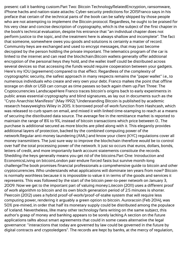present: call it banking custom.Part Two: Bitcoin TechnologyRelatedEncryption, ransomware, iPhone hacks and nation-state attacks: Cyber-security predictions for 2015Franco says in his preface that certain of the technical parts of the book can be safely skipped by those people who are not attempting to implement the Bitcoin protocol. Regardless, he ought to be praised for his very clear and concise description of cryptography, which is the subject of the first chapter in the book's technical evaluation, despite his entrance that "an individual chapter does not perform justice to the topic, and the treatment here is always shallow and incomplete". The fact that someone, somewhere owes you goods and solutions is certainly a matter of record. Community keys are exchanged and used to encrypt messages, that may just become decrypted by the person holding the private important. The telematics program of the car is linked to the internet and can read the blockchain.Bitcoin wallets generally offer additional encryption of the personal keys they hold, and the wallet itself could be distributed across several devices so that accessing the funds would require cooperation between your gadgets. Here's my IOU (agreement) compared to that effect. Regardless of the complexity of cryptographic security, the safest approach in many respects remains the "paper wallet" i.e., to numerous individuals who create and very own your debt. Franco makes the point that offline storage on disk or USB can corrupt as time passes so back again them up.Part Three: The Cryptocurrencies LandscapeHere Franco traces bitcoin's origins back to early experiments in public areas essential cryptography and blind signatures, as lay out in documents such as the "Cryto Anarchist Manifesto" (May 1992)."Understanding Bitcoin is published by academic research heavyweights Wiley in 2015. It borrowed proof-of-work function from Hashcash, which was released to curb spam on email, and mixed it with linked time-stamping to reach at a means of securing the distributed data source. The average fee in the remittance market is reported to maintain the range of 8% to 9%, instead of bitcoin transactions which price between 0.. The purchase is additional secured as more blocks are piled along with it. This elegantly provides additional layers of protection, backed by the combined computing power of the network.Regular anti-money laundering (AML) and know your client (KYC) regulations cover all money transmitters. The just sure way to improve the blockchain therefore would be to control over half the total processing power of the network. It just so occurs that euros, dollars, bonds, letters of credit, and more importantly bank account statements constitute the records. Shedding the keys generally means you get rid of the bitcoins.Part One: Introduction and EconomicsLiving on bitcoinLondon pair endure forced fasts but survive month-long challengeThe book promises financial professionals a comprehensive guide to bitcoin and other cryptocurrencies. Who understands what applications will dominate ten years from now? Bitcoin is normally worthless because it is impossible to value it in terms of the goods and services it represents. This was followed by the start of the bitcoin peer-to-peer network on January 3, 2009. Now we get to the important part of valuing money.Litecoin (2011) uses a different proof of work algorithm to bitcoin and its own block generation period of 2.5 minutes is shorter. Peercoin (2012) uses a hybrid proof-of-work/proof-of-stake system that will require less computing power, rendering it arguably a green option to bitcoin. Auroracoin (Feb 2014), was 50% pre-mined, in order that half its monetary supply could be distributed among the populace of Iceland. Nevertheless, like many other technology fans writing on the same subject, this author's grasp of money and banking appears to be sorely lacking.A section on the future applications talks about smart agreements that could in some cases alternative the legal governance: "interactions that today are governed by law could be governed in the future by digital contracts and cryptoledgers". The records are kept by banks, at the mercy of regulation,